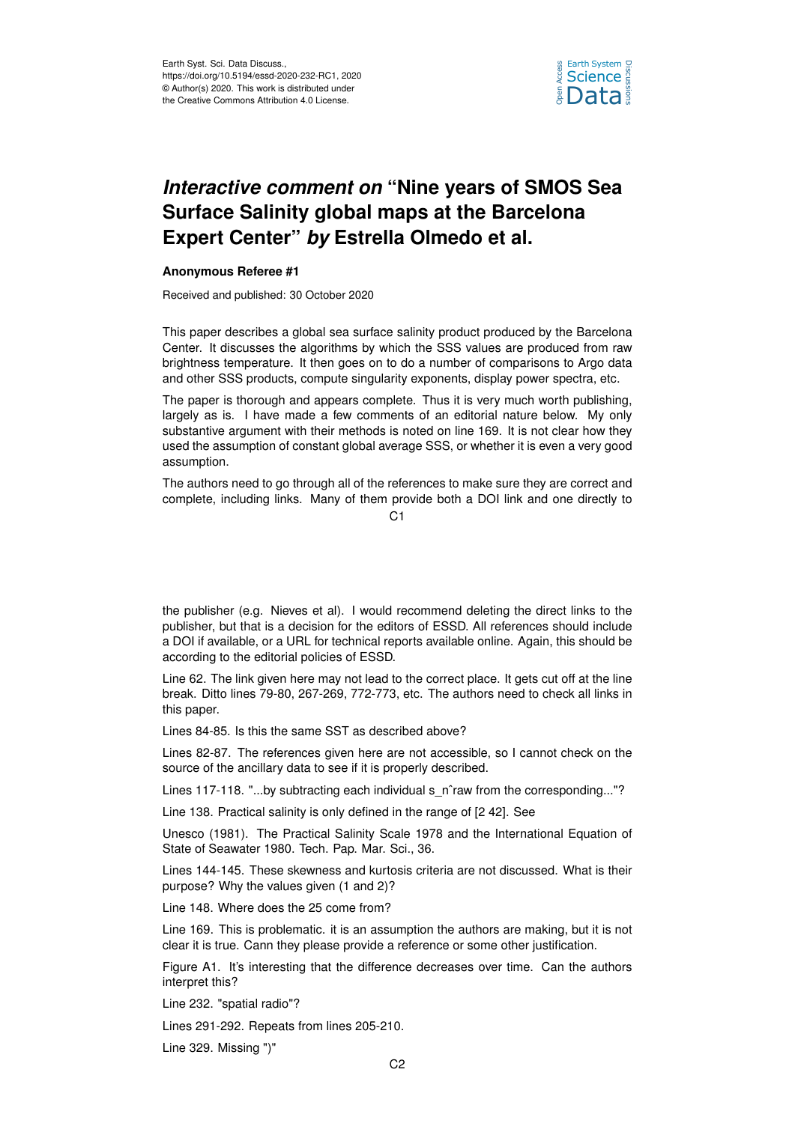

## *Interactive comment on* **"Nine years of SMOS Sea Surface Salinity global maps at the Barcelona Expert Center"** *by* **Estrella Olmedo et al.**

## **Anonymous Referee #1**

Received and published: 30 October 2020

This paper describes a global sea surface salinity product produced by the Barcelona Center. It discusses the algorithms by which the SSS values are produced from raw brightness temperature. It then goes on to do a number of comparisons to Argo data and other SSS products, compute singularity exponents, display power spectra, etc.

The paper is thorough and appears complete. Thus it is very much worth publishing, largely as is. I have made a few comments of an editorial nature below. My only substantive argument with their methods is noted on line 169. It is not clear how they used the assumption of constant global average SSS, or whether it is even a very good assumption.

The authors need to go through all of the references to make sure they are correct and complete, including links. Many of them provide both a DOI link and one directly to

 $C<sub>1</sub>$ 

the publisher (e.g. Nieves et al). I would recommend deleting the direct links to the publisher, but that is a decision for the editors of ESSD. All references should include a DOI if available, or a URL for technical reports available online. Again, this should be according to the editorial policies of ESSD.

Line 62. The link given here may not lead to the correct place. It gets cut off at the line break. Ditto lines 79-80, 267-269, 772-773, etc. The authors need to check all links in this paper.

Lines 84-85. Is this the same SST as described above?

Lines 82-87. The references given here are not accessible, so I cannot check on the source of the ancillary data to see if it is properly described.

Lines 117-118. "...by subtracting each individual s\_n^raw from the corresponding..."?

Line 138. Practical salinity is only defined in the range of [2 42]. See

Unesco (1981). The Practical Salinity Scale 1978 and the International Equation of State of Seawater 1980. Tech. Pap. Mar. Sci., 36.

Lines 144-145. These skewness and kurtosis criteria are not discussed. What is their purpose? Why the values given (1 and 2)?

Line 148. Where does the 25 come from?

Line 169. This is problematic. it is an assumption the authors are making, but it is not clear it is true. Cann they please provide a reference or some other justification.

Figure A1. It's interesting that the difference decreases over time. Can the authors interpret this?

Line 232. "spatial radio"?

Lines 291-292. Repeats from lines 205-210.

Line 329. Missing ")"